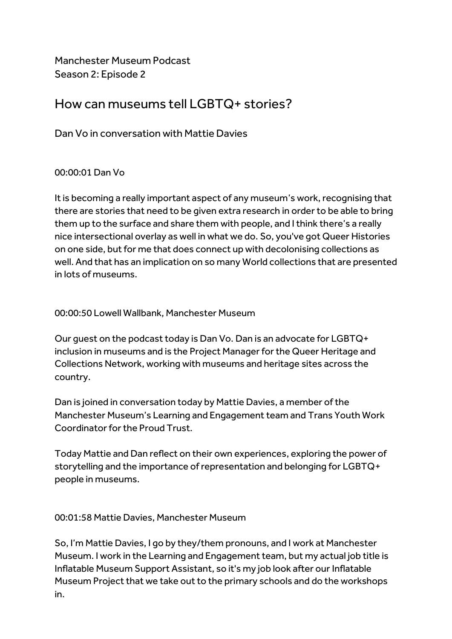Manchester Museum Podcast Season 2: Episode 2

# How can museums tell LGBTQ+ stories?

Dan Vo in conversation with Mattie Davies

# 00:00:01 Dan Vo

It is becoming a really important aspect of any museum's work, recognising that there are stories that need to be given extra research in order to be able to bring them up to the surface and share them with people, and I think there's a really nice intersectional overlay as well in what we do. So, you've got Queer Histories on one side, but for me that does connect up with decolonising collections as well. And that has an implication on so many World collections that are presented in lots of museums.

00:00:50 Lowell Wallbank, Manchester Museum

Our guest on the podcast today is Dan Vo. Dan is an advocate for LGBTQ+ inclusion in museums and is the Project Manager for the Queer Heritage and Collections Network, working with museums and heritage sites across the country.

Dan is joined in conversation today by Mattie Davies, a member of the Manchester Museum's Learning and Engagement team and Trans Youth Work Coordinator for the Proud Trust.

Today Mattie and Dan reflect on their own experiences, exploring the power of storytelling and the importance of representation and belonging for LGBTQ+ people in museums.

00:01:58 Mattie Davies, Manchester Museum

So, I'm Mattie Davies, I go by they/them pronouns, and I work at Manchester Museum. I work in the Learning and Engagement team, but my actual job title is Inflatable Museum Support Assistant, so it's my job look after our Inflatable Museum Project that we take out to the primary schools and do the workshops in.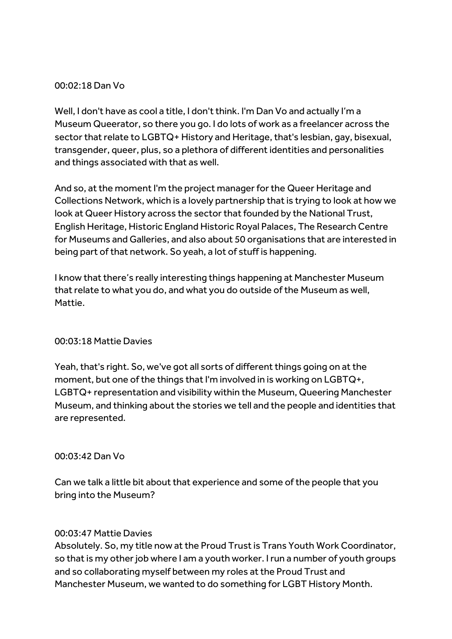## 00:02:18 Dan Vo

Well, I don't have as cool a title, I don't think. I'm Dan Vo and actually I'm a Museum Queerator, so there you go. I do lots of work as a freelancer across the sector that relate to LGBTQ+ History and Heritage, that's lesbian, gay, bisexual, transgender, queer, plus, so a plethora of different identities and personalities and things associated with that as well.

And so, at the moment I'm the project manager for the Queer Heritage and Collections Network, which is a lovely partnership that is trying to look at how we look at Queer History across the sector that founded by the National Trust, English Heritage, Historic England Historic Royal Palaces, The Research Centre for Museums and Galleries, and also about 50 organisations that are interested in being part of that network. So yeah, a lot of stuff is happening.

I know that there's really interesting things happening at Manchester Museum that relate to what you do, and what you do outside of the Museum as well, Mattie.

#### 00:03:18 Mattie Davies

Yeah, that's right. So, we've got all sorts of different things going on at the moment, but one of the things that I'm involved in is working on LGBTQ+, LGBTQ+ representation and visibility within the Museum, Queering Manchester Museum, and thinking about the stories we tell and the people and identities that are represented.

#### 00:03:42 Dan Vo

Can we talk a little bit about that experience and some of the people that you bring into the Museum?

#### 00:03:47 Mattie Davies

Absolutely. So, my title now at the Proud Trust is Trans Youth Work Coordinator, so that is my other job where I am a youth worker. I run a number of youth groups and so collaborating myself between my roles at the Proud Trust and Manchester Museum, we wanted to do something for LGBT History Month.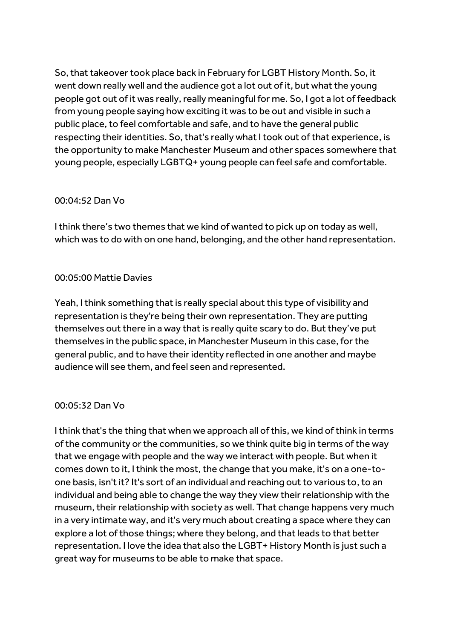So, that takeover took place back in February for LGBT History Month. So, it went down really well and the audience got a lot out of it, but what the young people got out of it was really, really meaningful for me. So, I got a lot of feedback from young people saying how exciting it was to be out and visible in such a public place, to feel comfortable and safe, and to have the general public respecting their identities. So, that's really what I took out of that experience, is the opportunity to make Manchester Museum and other spaces somewhere that young people, especially LGBTQ+ young people can feel safe and comfortable.

# 00:04:52 Dan Vo

I think there's two themes that we kind of wanted to pick up on today as well, which was to do with on one hand, belonging, and the other hand representation.

# 00:05:00 Mattie Davies

Yeah, I think something that is really special about this type of visibility and representation is they're being their own representation. They are putting themselves out there in a way that is really quite scary to do. But they've put themselves in the public space, in Manchester Museum in this case, for the general public, and to have their identity reflected in one another and maybe audience will see them, and feel seen and represented.

## 00:05:32 Dan Vo

I think that's the thing that when we approach all of this, we kind of think in terms of the community or the communities, so we think quite big in terms of the way that we engage with people and the way we interact with people. But when it comes down to it, I think the most, the change that you make, it's on a one-toone basis, isn't it? It's sort of an individual and reaching out to various to, to an individual and being able to change the way they view their relationship with the museum, their relationship with society as well. That change happens very much in a very intimate way, and it's very much about creating a space where they can explore a lot of those things; where they belong, and that leads to that better representation. I love the idea that also the LGBT+ History Month is just such a great way for museums to be able to make that space.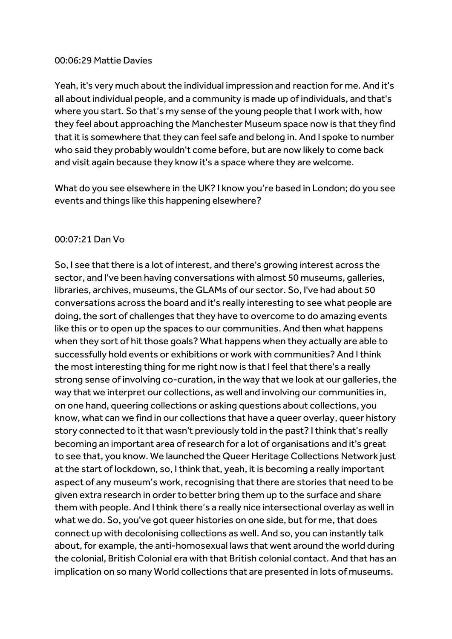#### 00:06:29 Mattie Davies

Yeah, it's very much about the individual impression and reaction for me. And it's all about individual people, and a community is made up of individuals, and that's where you start. So that's my sense of the young people that I work with, how they feel about approaching the Manchester Museum space now is that they find that it is somewhere that they can feel safe and belong in. And I spoke to number who said they probably wouldn't come before, but are now likely to come back and visit again because they know it's a space where they are welcome.

What do you see elsewhere in the UK? I know you're based in London; do you see events and things like this happening elsewhere?

#### 00:07:21 Dan Vo

So, I see that there is a lot of interest, and there's growing interest across the sector, and I've been having conversations with almost 50 museums, galleries, libraries, archives, museums, the GLAMs of our sector. So, I've had about 50 conversations across the board and it's really interesting to see what people are doing, the sort of challenges that they have to overcome to do amazing events like this or to open up the spaces to our communities. And then what happens when they sort of hit those goals? What happens when they actually are able to successfully hold events or exhibitions or work with communities? And I think the most interesting thing for me right now is that I feel that there's a really strong sense of involving co-curation, in the way that we look at our galleries, the way that we interpret our collections, as well and involving our communities in, on one hand, queering collections or asking questions about collections, you know, what can we find in our collections that have a queer overlay, queer history story connected to it that wasn't previously told in the past? I think that's really becoming an important area of research for a lot of organisations and it's great to see that, you know. We launched the Queer Heritage Collections Network just at the start of lockdown, so, I think that, yeah, it is becoming a really important aspect of any museum's work, recognising that there are stories that need to be given extra research in order to better bring them up to the surface and share them with people. And I think there's a really nice intersectional overlay as well in what we do. So, you've got queer histories on one side, but for me, that does connect up with decolonising collections as well. And so, you can instantly talk about, for example, the anti-homosexual laws that went around the world during the colonial, British Colonial era with that British colonial contact. And that has an implication on so many World collections that are presented in lots of museums.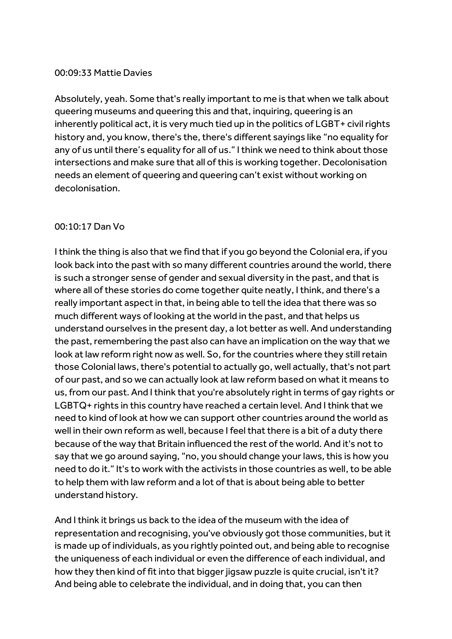#### 00:09:33 Mattie Davies

Absolutely, yeah. Some that's really important to me is that when we talk about queering museums and queering this and that, inquiring, queering is an inherently political act, it is very much tied up in the politics of LGBT+ civil rights history and, you know, there's the, there's different sayings like "no equality for any of us until there's equality for all of us." I think we need to think about those intersections and make sure that all of this is working together. Decolonisation needs an element of queering and queering can't exist without working on decolonisation.

## 00:10:17 Dan Vo

I think the thing is also that we find that if you go beyond the Colonial era, if you look back into the past with so many different countries around the world, there is such a stronger sense of gender and sexual diversity in the past, and that is where all of these stories do come together quite neatly, I think, and there's a really important aspect in that, in being able to tell the idea that there was so much different ways of looking at the world in the past, and that helps us understand ourselves in the present day, a lot better as well. And understanding the past, remembering the past also can have an implication on the way that we look at law reform right now as well. So, for the countries where they still retain those Colonial laws, there's potential to actually go, well actually, that's not part of our past, and so we can actually look at law reform based on what it means to us, from our past. And I think that you're absolutely right in terms of gay rights or LGBTQ+ rights in this country have reached a certain level. And I think that we need to kind of look at how we can support other countries around the world as well in their own reform as well, because I feel that there is a bit of a duty there because of the way that Britain influenced the rest of the world. And it's not to say that we go around saying, "no, you should change your laws, this is how you need to do it." It's to work with the activists in those countries as well, to be able to help them with law reform and a lot of that is about being able to better understand history.

And I think it brings us back to the idea of the museum with the idea of representation and recognising, you've obviously got those communities, but it is made up of individuals, as you rightly pointed out, and being able to recognise the uniqueness of each individual or even the difference of each individual, and how they then kind of fit into that bigger jigsaw puzzle is quite crucial, isn't it? And being able to celebrate the individual, and in doing that, you can then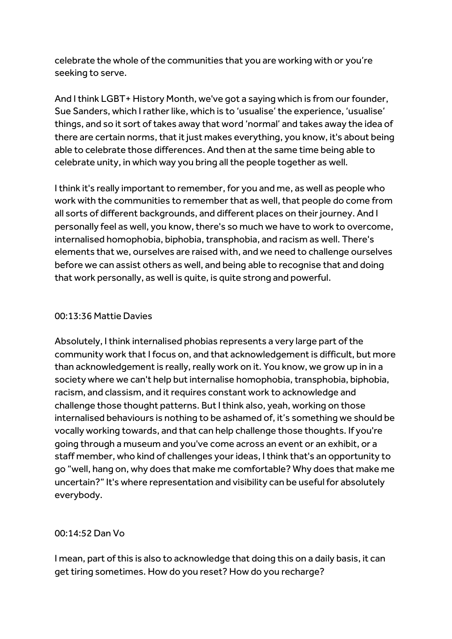celebrate the whole of the communities that you are working with or you're seeking to serve.

And I think LGBT+ History Month, we've got a saying which is from our founder, Sue Sanders, which I rather like, which is to 'usualise' the experience, 'usualise' things, and so it sort of takes away that word 'normal' and takes away the idea of there are certain norms, that it just makes everything, you know, it's about being able to celebrate those differences. And then at the same time being able to celebrate unity, in which way you bring all the people together as well.

I think it's really important to remember, for you and me, as well as people who work with the communities to remember that as well, that people do come from all sorts of different backgrounds, and different places on their journey. And I personally feel as well, you know, there's so much we have to work to overcome, internalised homophobia, biphobia, transphobia, and racism as well. There's elements that we, ourselves are raised with, and we need to challenge ourselves before we can assist others as well, and being able to recognise that and doing that work personally, as well is quite, is quite strong and powerful.

## 00:13:36 Mattie Davies

Absolutely, I think internalised phobias represents a very large part of the community work that I focus on, and that acknowledgement is difficult, but more than acknowledgement is really, really work on it. You know, we grow up in in a society where we can't help but internalise homophobia, transphobia, biphobia, racism, and classism, and it requires constant work to acknowledge and challenge those thought patterns. But I think also, yeah, working on those internalised behaviours is nothing to be ashamed of, it's something we should be vocally working towards, and that can help challenge those thoughts. If you're going through a museum and you've come across an event or an exhibit, or a staff member, who kind of challenges your ideas, I think that's an opportunity to go "well, hang on, why does that make me comfortable? Why does that make me uncertain?" It's where representation and visibility can be useful for absolutely everybody.

## 00:14:52 Dan Vo

I mean, part of this is also to acknowledge that doing this on a daily basis, it can get tiring sometimes. How do you reset? How do you recharge?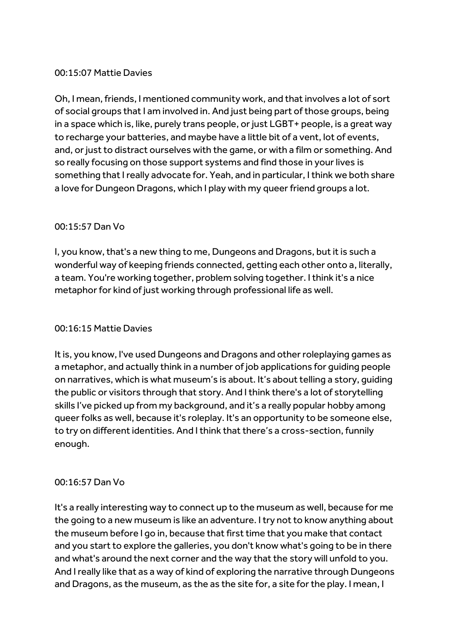## 00:15:07 Mattie Davies

Oh, I mean, friends, I mentioned community work, and thatinvolves a lot of sort of social groups that I am involved in. And just being part of those groups, being in a space which is, like, purely trans people, or just LGBT+ people, is a great way to recharge your batteries, and maybe have a little bit of a vent, lot of events, and, or just to distract ourselves with the game, or with a film or something. And so really focusing on those support systems and find those in your lives is something that I really advocate for. Yeah, and in particular, I think we both share a love for Dungeon Dragons, which I play with my queer friend groups a lot.

## 00:15:57 Dan Vo

I, you know, that's a new thing to me, Dungeons and Dragons, but it is such a wonderful way of keeping friends connected, getting each other onto a, literally, a team. You're working together, problem solving together. I think it's a nice metaphor for kind of just working through professional life as well.

## 00:16:15 Mattie Davies

It is, you know, I've used Dungeons and Dragons and other roleplaying games as a metaphor, and actually think in a number of job applications for guiding people on narratives, which is what museum's is about. It's about telling a story, guiding the public or visitors through that story. And I think there's a lot of storytelling skills I've picked up from my background, and it's a really popular hobby among queer folks as well, because it's roleplay. It's an opportunity to be someone else, to try on different identities. And I think that there's a cross-section, funnily enough.

## 00:16:57 Dan Vo

It's a really interesting way to connect up to the museum as well, because for me the going to a new museum is like an adventure. I try not to know anything about the museum before I go in, because that first time that you make that contact and you start to explore the galleries, you don't know what's going to be in there and what's around the next corner and the way that the story will unfold to you. And I really like that as a way of kind of exploring the narrative through Dungeons and Dragons, as the museum, as the as the site for, a site for the play. I mean, I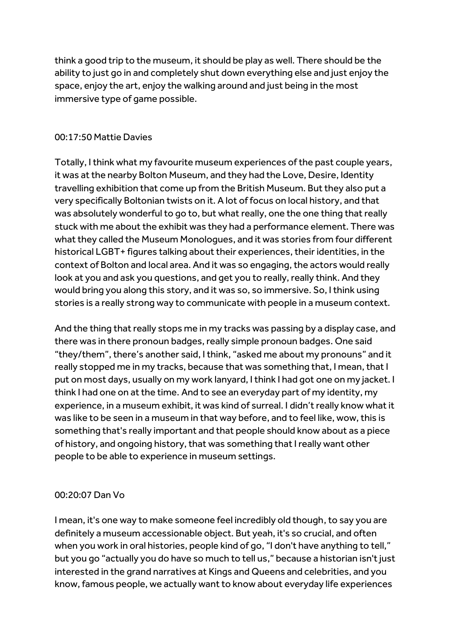think a good trip to the museum, it should be play as well. There should be the ability to just go in and completely shut down everything else and just enjoy the space, enjoy the art, enjoy the walking around and just being in the most immersive type of game possible.

# 00:17:50 Mattie Davies

Totally, I think what my favourite museum experiences of the past couple years, it was at the nearby Bolton Museum, and they had the Love, Desire, Identity travelling exhibition that come up from the British Museum. But they also put a very specifically Boltonian twists on it. A lot of focus on local history, and that was absolutely wonderful to go to, but what really, one the one thing that really stuck with me about the exhibit was they had a performance element. There was what they called the Museum Monologues, and it was stories from four different historical LGBT+ figures talking about their experiences, their identities, in the context of Bolton and local area. And it was so engaging, the actors would really look at you and ask you questions, and get you to really, really think. And they would bring you along this story, and it was so, so immersive. So, I think using stories is a really strong way to communicate with people in a museum context.

And the thing that really stops me in my tracks was passing by a display case, and there was in there pronoun badges, really simple pronoun badges. One said "they/them", there's another said, I think, "asked me about my pronouns" and it really stopped me in my tracks, because that was something that, I mean, that I put on most days, usually on my work lanyard, I think I had got one on my jacket. I think I had one on at the time. And to see an everyday part of my identity, my experience, in a museum exhibit, it was kind of surreal. I didn't really know what it was like to be seen in a museum in that way before, and to feel like, wow, this is something that's really important and that people should know about as a piece of history, and ongoing history, that was something that I really want other people to be able to experience in museum settings.

# 00:20:07 Dan Vo

I mean, it's one way to make someone feel incredibly old though, to say you are definitely a museum accessionable object. But yeah, it's so crucial, and often when you work in oral histories, people kind of go, "I don't have anything to tell," but you go "actually you do have so much to tell us," because a historian isn't just interested in the grand narratives at Kings and Queens and celebrities, and you know, famous people, we actually want to know about everyday life experiences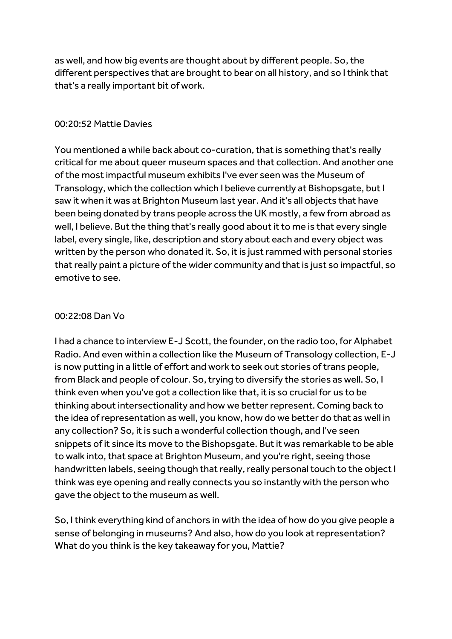as well, and how big events are thought about by different people. So, the different perspectives that are brought to bear on all history, and so I think that that's a really important bit of work.

#### 00:20:52 Mattie Davies

You mentioned a while back about co-curation, that is something that's really critical for me about queer museum spaces and that collection. And another one ofthe most impactful museum exhibits I've ever seen was the Museum of Transology, which the collection which I believe currently at Bishopsgate, but I saw it when it was at Brighton Museum last year. And it's all objects that have been being donated by trans people across the UK mostly, a few from abroad as well, I believe. But the thing that's really good about it to me is that every single label, every single, like, description and story about each and every object was written by the person who donated it. So, it is just rammed with personal stories that really paint a picture of the wider community and that is just so impactful, so emotive to see.

## 00:22:08 Dan Vo

I had a chance to interview E-J Scott, the founder, on the radio too, for Alphabet Radio. And even within a collection like the Museum of Transology collection, E-J is now putting in a little of effort and work to seek out stories of trans people, from Black and people of colour. So, trying to diversify the stories as well. So, I think even when you've got a collection like that, it is so crucial for us to be thinking about intersectionality and how we better represent. Coming back to the idea of representation as well, you know, how do we better do that as well in any collection? So, it is such a wonderful collection though, and I've seen snippets of it since its move to the Bishopsgate. But it was remarkable to be able to walk into, that space at Brighton Museum, and you're right, seeing those handwritten labels, seeing though that really, really personal touch to the object I think was eye opening and really connects you so instantly with the person who gave the object to the museum as well.

So, I think everything kind of anchors in with the idea of how do you give people a sense of belonging in museums? And also, how do you look at representation? What do you think is the key takeaway for you, Mattie?